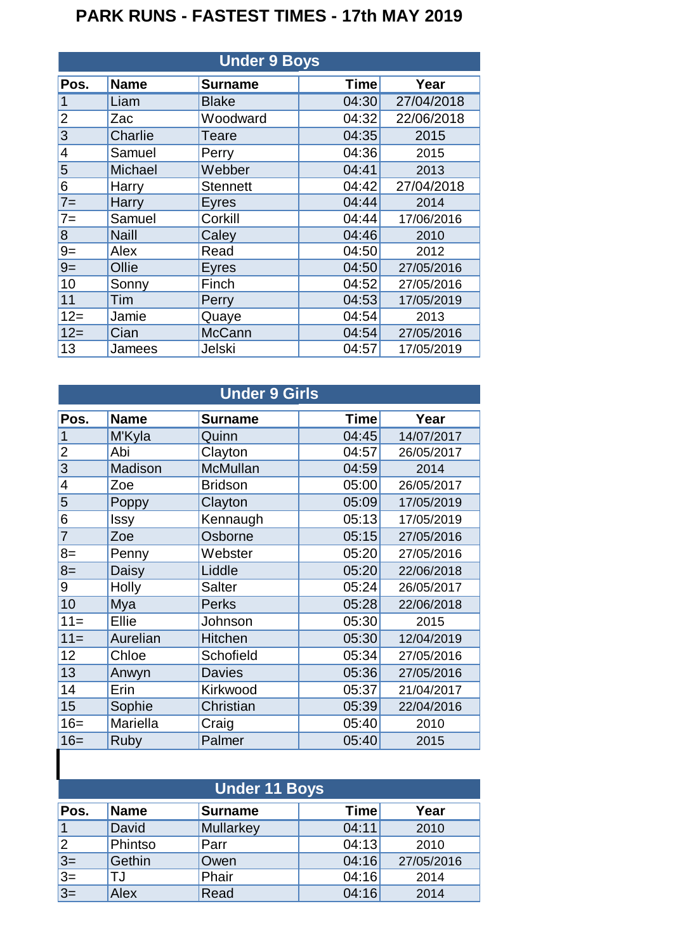## **PARK RUNS - FASTEST TIMES - 17th MAY 2019**

| <b>Under 9 Boys</b> |              |                 |             |            |  |
|---------------------|--------------|-----------------|-------------|------------|--|
| Pos.                | <b>Name</b>  | <b>Surname</b>  | <b>Time</b> | Year       |  |
| 1                   | Liam         | <b>Blake</b>    | 04:30       | 27/04/2018 |  |
| $\overline{2}$      | Zac          | Woodward        | 04:32       | 22/06/2018 |  |
| 3                   | Charlie      | Teare           | 04:35       | 2015       |  |
| $\overline{4}$      | Samuel       | Perry           | 04:36       | 2015       |  |
| 5                   | Michael      | Webber          | 04:41       | 2013       |  |
| 6                   | Harry        | <b>Stennett</b> | 04:42       | 27/04/2018 |  |
| $7=$                | Harry        | Eyres           | 04:44       | 2014       |  |
| $7=$                | Samuel       | Corkill         | 04:44       | 17/06/2016 |  |
| 8                   | <b>Naill</b> | Caley           | 04:46       | 2010       |  |
| $9=$                | Alex         | Read            | 04:50       | 2012       |  |
| $9=$                | Ollie        | <b>Eyres</b>    | 04:50       | 27/05/2016 |  |
| 10                  | Sonny        | Finch           | 04:52       | 27/05/2016 |  |
| 11                  | Tim          | Perry           | 04:53       | 17/05/2019 |  |
| $12 =$              | Jamie        | Quaye           | 04:54       | 2013       |  |
| $12=$               | Cian         | <b>McCann</b>   | 04:54       | 27/05/2016 |  |
| 13                  | Jamees       | Jelski          | 04:57       | 17/05/2019 |  |

| <b>Under 9 Girls</b> |             |                  |             |            |  |
|----------------------|-------------|------------------|-------------|------------|--|
| Pos.                 | <b>Name</b> | <b>Surname</b>   | <b>Time</b> | Year       |  |
| 1                    | M'Kyla      | Quinn            | 04:45       | 14/07/2017 |  |
| $\overline{c}$       | Abi         | Clayton          | 04:57       | 26/05/2017 |  |
| 3                    | Madison     | McMullan         | 04:59       | 2014       |  |
| 4                    | Zoe         | <b>Bridson</b>   | 05:00       | 26/05/2017 |  |
| 5                    | Poppy       | Clayton          | 05:09       | 17/05/2019 |  |
| 6                    | <b>Issy</b> | Kennaugh         | 05:13       | 17/05/2019 |  |
| $\overline{7}$       | Zoe         | Osborne          | 05:15       | 27/05/2016 |  |
| $8=$                 | Penny       | Webster          | 05:20       | 27/05/2016 |  |
| $8=$                 | Daisy       | Liddle           | 05:20       | 22/06/2018 |  |
| 9                    | Holly       | <b>Salter</b>    | 05:24       | 26/05/2017 |  |
| 10                   | Mya         | <b>Perks</b>     | 05:28       | 22/06/2018 |  |
| $11 =$               | Ellie       | Johnson          | 05:30       | 2015       |  |
| $11 =$               | Aurelian    | <b>Hitchen</b>   | 05:30       | 12/04/2019 |  |
| 12                   | Chloe       | <b>Schofield</b> | 05:34       | 27/05/2016 |  |
| 13                   | Anwyn       | <b>Davies</b>    | 05:36       | 27/05/2016 |  |
| 14                   | Erin        | Kirkwood         | 05:37       | 21/04/2017 |  |
| 15                   | Sophie      | Christian        | 05:39       | 22/04/2016 |  |
| $16=$                | Mariella    | Craig            | 05:40       | 2010       |  |
| $16=$                | Ruby        | Palmer           | 05:40       | 2015       |  |
|                      |             |                  |             |            |  |

| <b>Under 11 Boys</b> |             |                |             |            |  |
|----------------------|-------------|----------------|-------------|------------|--|
| Pos.                 | <b>Name</b> | <b>Surname</b> | <b>Time</b> | Year       |  |
|                      | David       | Mullarkey      | 04:11       | 2010       |  |
| $\overline{2}$       | Phintso     | <b>Parr</b>    | 04:13       | 2010       |  |
| $3 =$                | Gethin      | Owen           | 04:16       | 27/05/2016 |  |
| $\frac{3}{3}$ =      | TJ          | Phair          | 04:16       | 2014       |  |
|                      | Alex        | Read           | 04:16       | 2014       |  |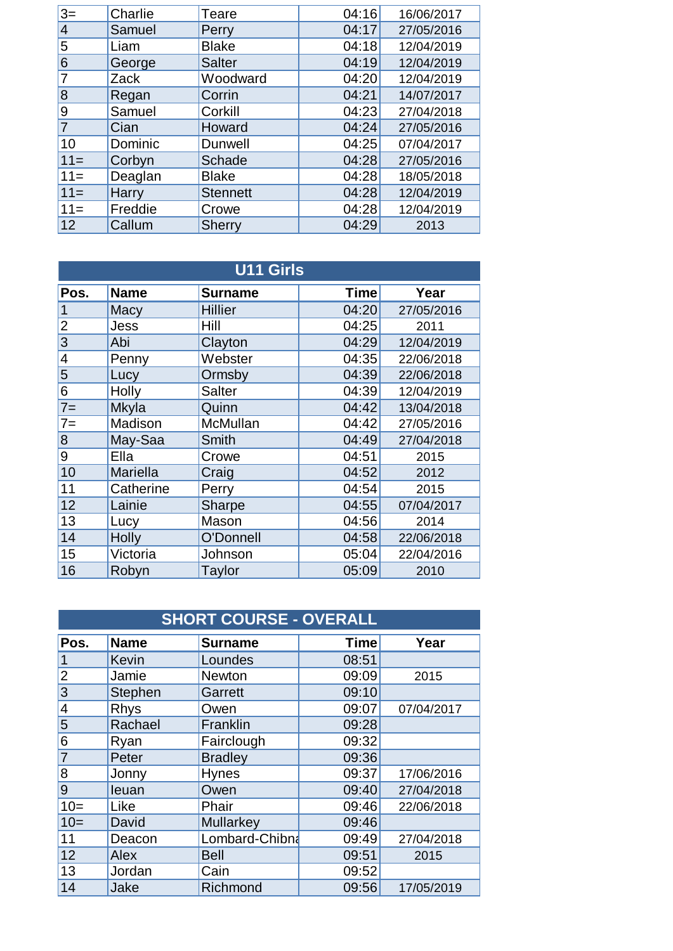| $3=$   | Charlie | Teare           | 04:16 | 16/06/2017 |
|--------|---------|-----------------|-------|------------|
| 4      | Samuel  | Perry           | 04:17 | 27/05/2016 |
| 5      | Liam    | <b>Blake</b>    | 04:18 | 12/04/2019 |
| 6      | George  | <b>Salter</b>   | 04:19 | 12/04/2019 |
|        | Zack    | Woodward        | 04:20 | 12/04/2019 |
| 8      | Regan   | Corrin          | 04:21 | 14/07/2017 |
| 9      | Samuel  | Corkill         | 04:23 | 27/04/2018 |
|        | Cian    | Howard          | 04:24 | 27/05/2016 |
| 10     | Dominic | Dunwell         | 04:25 | 07/04/2017 |
| $11 =$ | Corbyn  | Schade          | 04:28 | 27/05/2016 |
| $11 =$ | Deaglan | <b>Blake</b>    | 04:28 | 18/05/2018 |
| $11 =$ | Harry   | <b>Stennett</b> | 04:28 | 12/04/2019 |
| $11 =$ | Freddie | Crowe           | 04:28 | 12/04/2019 |
| 12     | Callum  | <b>Sherry</b>   | 04:29 | 2013       |
|        |         |                 |       |            |

| <b>U11 Girls</b> |                 |                |             |            |  |
|------------------|-----------------|----------------|-------------|------------|--|
| Pos.             | <b>Name</b>     | <b>Surname</b> | <b>Time</b> | Year       |  |
| 1                | Macy            | Hillier        | 04:20       | 27/05/2016 |  |
| $\overline{2}$   | Jess            | Hill           | 04:25       | 2011       |  |
| 3                | Abi             | Clayton        | 04:29       | 12/04/2019 |  |
| 4                | Penny           | Webster        | 04:35       | 22/06/2018 |  |
| 5                | Lucy            | Ormsby         | 04:39       | 22/06/2018 |  |
| 6                | Holly           | <b>Salter</b>  | 04:39       | 12/04/2019 |  |
| $7 =$            | Mkyla           | Quinn          | 04:42       | 13/04/2018 |  |
| $7 =$            | Madison         | McMullan       | 04:42       | 27/05/2016 |  |
| 8                | May-Saa         | Smith          | 04:49       | 27/04/2018 |  |
| 9                | Ella            | Crowe          | 04:51       | 2015       |  |
| 10               | <b>Mariella</b> | Craig          | 04:52       | 2012       |  |
| 11               | Catherine       | Perry          | 04:54       | 2015       |  |
| 12               | Lainie          | <b>Sharpe</b>  | 04:55       | 07/04/2017 |  |
| 13               | Lucy            | Mason          | 04:56       | 2014       |  |
| 14               | Holly           | O'Donnell      | 04:58       | 22/06/2018 |  |
| 15               | Victoria        | Johnson        | 05:04       | 22/04/2016 |  |
| 16               | Robyn           | <b>Taylor</b>  | 05:09       | 2010       |  |

| <b>SHORT COURSE - OVERALL</b> |              |                |             |            |  |
|-------------------------------|--------------|----------------|-------------|------------|--|
| Pos.                          | <b>Name</b>  | <b>Surname</b> | <b>Time</b> | Year       |  |
|                               | <b>Kevin</b> | Loundes        | 08:51       |            |  |
| $\overline{c}$                | Jamie        | <b>Newton</b>  | 09:09       | 2015       |  |
| 3                             | Stephen      | Garrett        | 09:10       |            |  |
| 4                             | <b>Rhys</b>  | Owen           | 09:07       | 07/04/2017 |  |
| 5                             | Rachael      | Franklin       | 09:28       |            |  |
| 6                             | Ryan         | Fairclough     | 09:32       |            |  |
| 7                             | Peter        | <b>Bradley</b> | 09:36       |            |  |
| 8                             | Jonny        | <b>Hynes</b>   | 09:37       | 17/06/2016 |  |
| 9                             | leuan        | Owen           | 09:40       | 27/04/2018 |  |
| $10=$                         | Like         | Phair          | 09:46       | 22/06/2018 |  |
| $10=$                         | David        | Mullarkey      | 09:46       |            |  |
| 11                            | Deacon       | Lombard-Chibna | 09:49       | 27/04/2018 |  |
| 12                            | Alex         | <b>Bell</b>    | 09:51       | 2015       |  |
| 13                            | Jordan       | Cain           | 09:52       |            |  |
| 14                            | Jake         | Richmond       | 09:56       | 17/05/2019 |  |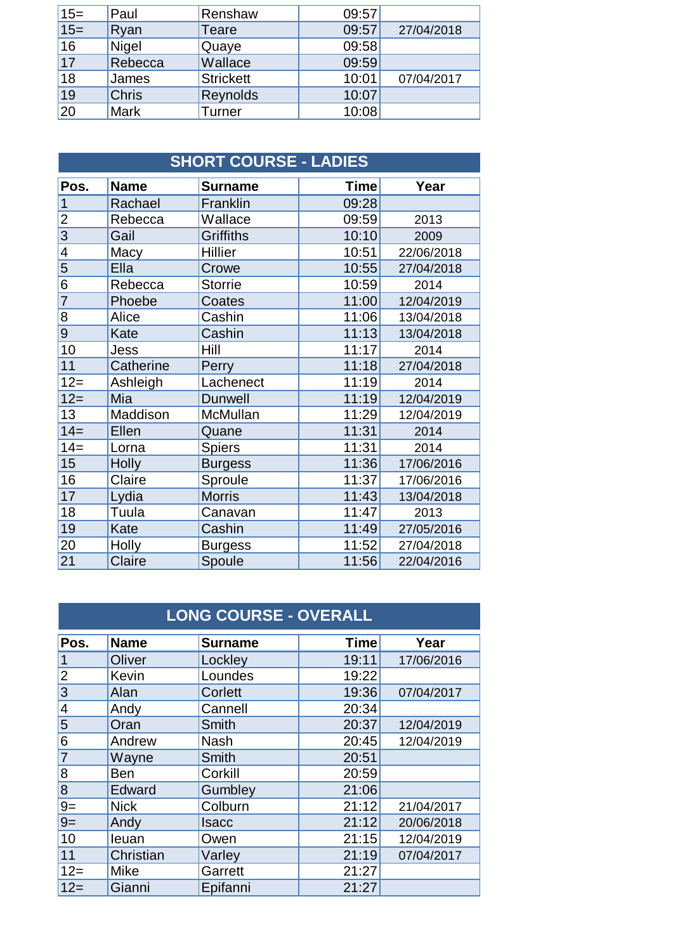| $15=$           | Paul         | Renshaw          | 09:57 |            |
|-----------------|--------------|------------------|-------|------------|
| $15=$           | Ryan         | Teare            | 09:57 | 27/04/2018 |
| $\overline{16}$ | Nigel        | Quaye            | 09:58 |            |
| 17              | Rebecca      | Wallace          | 09:59 |            |
| $\overline{18}$ | James        | <b>Strickett</b> | 10:01 | 07/04/2017 |
| 19              | <b>Chris</b> | Reynolds         | 10:07 |            |
| 20              | <b>Mark</b>  | Turner           | 10:08 |            |

| <b>SHORT COURSE - LADIES</b> |              |                  |             |            |
|------------------------------|--------------|------------------|-------------|------------|
| Pos.                         | <b>Name</b>  | <b>Surname</b>   | <b>Time</b> | Year       |
| 1                            | Rachael      | Franklin         | 09:28       |            |
| $\overline{c}$               | Rebecca      | Wallace          | 09:59       | 2013       |
| $\overline{3}$               | Gail         | <b>Griffiths</b> | 10:10       | 2009       |
| 4                            | Macy         | Hillier          | 10:51       | 22/06/2018 |
| 5                            | Ella         | Crowe            | 10:55       | 27/04/2018 |
| 6                            | Rebecca      | <b>Storrie</b>   | 10:59       | 2014       |
| 7                            | Phoebe       | Coates           | 11:00       | 12/04/2019 |
| 8                            | Alice        | Cashin           | 11:06       | 13/04/2018 |
| 9                            | Kate         | Cashin           | 11:13       | 13/04/2018 |
| 10                           | Jess         | Hill             | 11:17       | 2014       |
| 11                           | Catherine    | Perry            | 11:18       | 27/04/2018 |
| $12=$                        | Ashleigh     | Lachenect        | 11:19       | 2014       |
| $12 =$                       | Mia          | <b>Dunwell</b>   | 11:19       | 12/04/2019 |
| 13                           | Maddison     | McMullan         | 11:29       | 12/04/2019 |
| $14=$                        | Ellen        | Quane            | 11:31       | 2014       |
| $14=$                        | Lorna        | <b>Spiers</b>    | 11:31       | 2014       |
| 15                           | <b>Holly</b> | <b>Burgess</b>   | 11:36       | 17/06/2016 |
| 16                           | Claire       | Sproule          | 11:37       | 17/06/2016 |
| 17                           | Lydia        | <b>Morris</b>    | 11:43       | 13/04/2018 |
| 18                           | Tuula        | Canavan          | 11:47       | 2013       |
| 19                           | Kate         | Cashin           | 11:49       | 27/05/2016 |
| 20                           | Holly        | Burgess          | 11:52       | 27/04/2018 |
| 21                           | Claire       | Spoule           | 11:56       | 22/04/2016 |

| <b>LONG COURSE - OVERALL</b> |             |                |             |            |  |
|------------------------------|-------------|----------------|-------------|------------|--|
| Pos.                         | <b>Name</b> | <b>Surname</b> | <b>Time</b> | Year       |  |
| 1                            | Oliver      | Lockley        | 19:11       | 17/06/2016 |  |
| $\overline{2}$               | Kevin       | Loundes        | 19:22       |            |  |
| 3                            | Alan        | Corlett        | 19:36       | 07/04/2017 |  |
| 4                            | Andy        | Cannell        | 20:34       |            |  |
| 5                            | Oran        | Smith          | 20:37       | 12/04/2019 |  |
| 6                            | Andrew      | <b>Nash</b>    | 20:45       | 12/04/2019 |  |
| 7                            | Wayne       | <b>Smith</b>   | 20:51       |            |  |
| 8                            | Ben         | Corkill        | 20:59       |            |  |
| 8                            | Edward      | Gumbley        | 21:06       |            |  |
| $9=$                         | <b>Nick</b> | Colburn        | 21:12       | 21/04/2017 |  |
| $9=$                         | Andy        | Isacc          | 21:12       | 20/06/2018 |  |
| 10                           | leuan       | Owen           | 21:15       | 12/04/2019 |  |
| 11                           | Christian   | Varley         | 21:19       | 07/04/2017 |  |
| $12 =$                       | Mike        | Garrett        | 21:27       |            |  |
| $12 =$                       | Gianni      | Epifanni       | 21:27       |            |  |